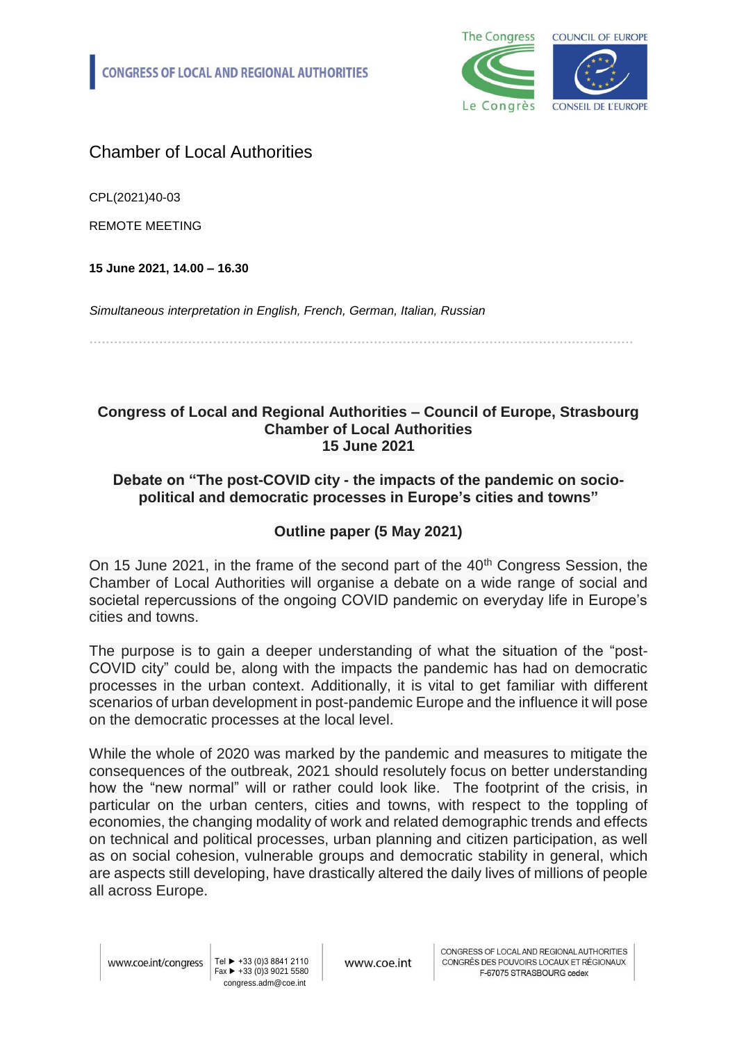

## Chamber of Local Authorities

CPL(2021)40-03

REMOTE MEETING

**15 June 2021, 14.00 – 16.30**

*Simultaneous interpretation in English, French, German, Italian, Russian*

**……………………………………………………………………………………………………………………**

## **Congress of Local and Regional Authorities – Council of Europe, Strasbourg Chamber of Local Authorities 15 June 2021**

## **Debate on "The post-COVID city - the impacts of the pandemic on sociopolitical and democratic processes in Europe's cities and towns"**

## **Outline paper (5 May 2021)**

On 15 June 2021, in the frame of the second part of the 40<sup>th</sup> Congress Session, the Chamber of Local Authorities will organise a debate on a wide range of social and societal repercussions of the ongoing COVID pandemic on everyday life in Europe's cities and towns.

The purpose is to gain a deeper understanding of what the situation of the "post-COVID city" could be, along with the impacts the pandemic has had on democratic processes in the urban context. Additionally, it is vital to get familiar with different scenarios of urban development in post-pandemic Europe and the influence it will pose on the democratic processes at the local level.

While the whole of 2020 was marked by the pandemic and measures to mitigate the consequences of the outbreak, 2021 should resolutely focus on better understanding how the "new normal" will or rather could look like. The footprint of the crisis, in particular on the urban centers, cities and towns, with respect to the toppling of economies, the changing modality of work and related demographic trends and effects on technical and political processes, urban planning and citizen participation, as well as on social cohesion, vulnerable groups and democratic stability in general, which are aspects still developing, have drastically altered the daily lives of millions of people all across Europe.

Tel ► +33 (0)3 8841 2110 Fax ► +33 (0)3 9021 5580 congress.adm@coe.int

www.coe.int